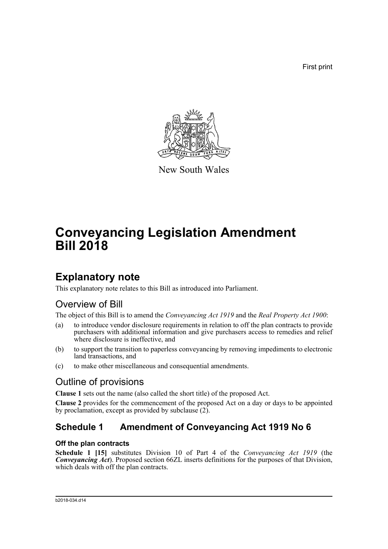First print



New South Wales

# **Conveyancing Legislation Amendment Bill 2018**

# **Explanatory note**

This explanatory note relates to this Bill as introduced into Parliament.

## Overview of Bill

The object of this Bill is to amend the *Conveyancing Act 1919* and the *Real Property Act 1900*:

- (a) to introduce vendor disclosure requirements in relation to off the plan contracts to provide purchasers with additional information and give purchasers access to remedies and relief where disclosure is ineffective, and
- (b) to support the transition to paperless conveyancing by removing impediments to electronic land transactions, and
- (c) to make other miscellaneous and consequential amendments.

## Outline of provisions

**Clause 1** sets out the name (also called the short title) of the proposed Act.

**Clause 2** provides for the commencement of the proposed Act on a day or days to be appointed by proclamation, except as provided by subclause  $(2)$ .

## **Schedule 1 Amendment of Conveyancing Act 1919 No 6**

## **Off the plan contracts**

**Schedule 1 [15]** substitutes Division 10 of Part 4 of the *Conveyancing Act 1919* (the *Conveyancing Act*). Proposed section 66ZL inserts definitions for the purposes of that Division, which deals with off the plan contracts.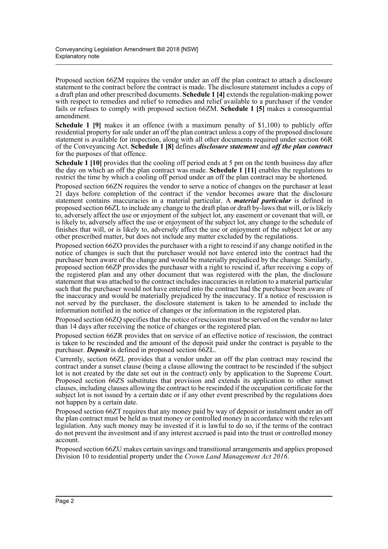Proposed section 66ZM requires the vendor under an off the plan contract to attach a disclosure statement to the contract before the contract is made. The disclosure statement includes a copy of a draft plan and other prescribed documents. **Schedule 1 [4]** extends the regulation-making power with respect to remedies and relief to remedies and relief available to a purchaser if the vendor fails or refuses to comply with proposed section 66ZM. **Schedule 1 [5]** makes a consequential amendment.

**Schedule 1 [9]** makes it an offence (with a maximum penalty of \$1,100) to publicly offer residential property for sale under an off the plan contract unless a copy of the proposed disclosure statement is available for inspection, along with all other documents required under section 66R of the Conveyancing Act. **Schedule 1 [8]** defines *disclosure statement* and *off the plan contract* for the purposes of that offence.

**Schedule 1 [10]** provides that the cooling off period ends at 5 pm on the tenth business day after the day on which an off the plan contract was made. **Schedule 1 [11]** enables the regulations to restrict the time by which a cooling off period under an off the plan contract may be shortened.

Proposed section 66ZN requires the vendor to serve a notice of changes on the purchaser at least 21 days before completion of the contract if the vendor becomes aware that the disclosure statement contains inaccuracies in a material particular. A *material particular* is defined in proposed section 66ZL to include any change to the draft plan or draft by-laws that will, or is likely to, adversely affect the use or enjoyment of the subject lot, any easement or covenant that will, or is likely to, adversely affect the use or enjoyment of the subject lot, any change to the schedule of finishes that will, or is likely to, adversely affect the use or enjoyment of the subject lot or any other prescribed matter, but does not include any matter excluded by the regulations.

Proposed section 66ZO provides the purchaser with a right to rescind if any change notified in the notice of changes is such that the purchaser would not have entered into the contract had the purchaser been aware of the change and would be materially prejudiced by the change. Similarly, proposed section 66ZP provides the purchaser with a right to rescind if, after receiving a copy of the registered plan and any other document that was registered with the plan, the disclosure statement that was attached to the contract includes inaccuracies in relation to a material particular such that the purchaser would not have entered into the contract had the purchaser been aware of the inaccuracy and would be materially prejudiced by the inaccuracy. If a notice of rescission is not served by the purchaser, the disclosure statement is taken to be amended to include the information notified in the notice of changes or the information in the registered plan.

Proposed section 66ZQ specifies that the notice of rescission must be served on the vendor no later than 14 days after receiving the notice of changes or the registered plan.

Proposed section 66ZR provides that on service of an effective notice of rescission, the contract is taken to be rescinded and the amount of the deposit paid under the contract is payable to the purchaser. *Deposit* is defined in proposed section 66ZL.

Currently, section 66ZL provides that a vendor under an off the plan contract may rescind the contract under a sunset clause (being a clause allowing the contract to be rescinded if the subject lot is not created by the date set out in the contract) only by application to the Supreme Court. Proposed section 66ZS substitutes that provision and extends its application to other sunset clauses, including clauses allowing the contract to be rescinded if the occupation certificate for the subject lot is not issued by a certain date or if any other event prescribed by the regulations does not happen by a certain date.

Proposed section 66ZT requires that any money paid by way of deposit or instalment under an off the plan contract must be held as trust money or controlled money in accordance with the relevant legislation. Any such money may be invested if it is lawful to do so, if the terms of the contract do not prevent the investment and if any interest accrued is paid into the trust or controlled money account.

Proposed section 66ZU makes certain savings and transitional arrangements and applies proposed Division 10 to residential property under the *Crown Land Management Act 2016*.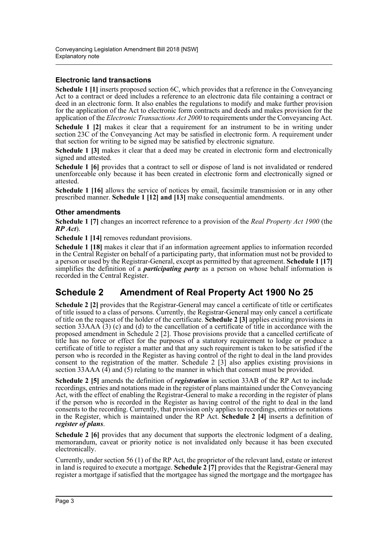### **Electronic land transactions**

**Schedule 1 [1]** inserts proposed section 6C, which provides that a reference in the Conveyancing Act to a contract or deed includes a reference to an electronic data file containing a contract or deed in an electronic form. It also enables the regulations to modify and make further provision for the application of the Act to electronic form contracts and deeds and makes provision for the application of the *Electronic Transactions Act 2000* to requirements under the Conveyancing Act.

**Schedule 1 [2]** makes it clear that a requirement for an instrument to be in writing under section 23C of the Conveyancing Act may be satisfied in electronic form. A requirement under that section for writing to be signed may be satisfied by electronic signature.

**Schedule 1 [3]** makes it clear that a deed may be created in electronic form and electronically signed and attested.

**Schedule 1 [6]** provides that a contract to sell or dispose of land is not invalidated or rendered unenforceable only because it has been created in electronic form and electronically signed or attested.

**Schedule 1 [16]** allows the service of notices by email, facsimile transmission or in any other prescribed manner. **Schedule 1 [12] and [13]** make consequential amendments.

### **Other amendments**

**Schedule 1 [7]** changes an incorrect reference to a provision of the *Real Property Act 1900* (the *RP Act*).

**Schedule 1 [14]** removes redundant provisions.

**Schedule 1 [18]** makes it clear that if an information agreement applies to information recorded in the Central Register on behalf of a participating party, that information must not be provided to a person or used by the Registrar-General, except as permitted by that agreement. **Schedule 1 [17]** simplifies the definition of a *participating party* as a person on whose behalf information is recorded in the Central Register.

## **Schedule 2 Amendment of Real Property Act 1900 No 25**

**Schedule 2 [2]** provides that the Registrar-General may cancel a certificate of title or certificates of title issued to a class of persons. Currently, the Registrar-General may only cancel a certificate of title on the request of the holder of the certificate. **Schedule 2 [3]** applies existing provisions in section 33AAA  $(3)$  (c) and (d) to the cancellation of a certificate of title in accordance with the proposed amendment in Schedule 2 [2]. Those provisions provide that a cancelled certificate of title has no force or effect for the purposes of a statutory requirement to lodge or produce a certificate of title to register a matter and that any such requirement is taken to be satisfied if the person who is recorded in the Register as having control of the right to deal in the land provides consent to the registration of the matter. Schedule 2 [3] also applies existing provisions in section 33AAA (4) and (5) relating to the manner in which that consent must be provided.

**Schedule 2 [5]** amends the definition of *registration* in section 33AB of the RP Act to include recordings, entries and notations made in the register of plans maintained under the Conveyancing Act, with the effect of enabling the Registrar-General to make a recording in the register of plans if the person who is recorded in the Register as having control of the right to deal in the land consents to the recording. Currently, that provision only applies to recordings, entries or notations in the Register, which is maintained under the RP Act. **Schedule 2 [4]** inserts a definition of *register of plans*.

**Schedule 2 [6]** provides that any document that supports the electronic lodgment of a dealing, memorandum, caveat or priority notice is not invalidated only because it has been executed electronically.

Currently, under section 56 (1) of the RP Act, the proprietor of the relevant land, estate or interest in land is required to execute a mortgage. **Schedule 2 [7]** provides that the Registrar-General may register a mortgage if satisfied that the mortgagee has signed the mortgage and the mortgagee has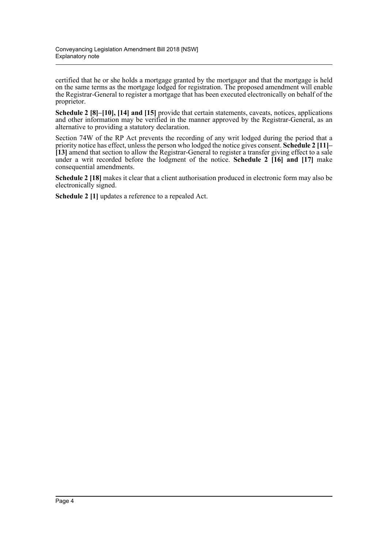certified that he or she holds a mortgage granted by the mortgagor and that the mortgage is held on the same terms as the mortgage lodged for registration. The proposed amendment will enable the Registrar-General to register a mortgage that has been executed electronically on behalf of the proprietor.

**Schedule 2 [8]–[10], [14] and [15]** provide that certain statements, caveats, notices, applications and other information may be verified in the manner approved by the Registrar-General, as an alternative to providing a statutory declaration.

Section 74W of the RP Act prevents the recording of any writ lodged during the period that a priority notice has effect, unless the person who lodged the notice gives consent. **Schedule 2 [11]– [13]** amend that section to allow the Registrar-General to register a transfer giving effect to a sale under a writ recorded before the lodgment of the notice. **Schedule 2 [16] and [17]** make consequential amendments.

**Schedule 2 [18]** makes it clear that a client authorisation produced in electronic form may also be electronically signed.

**Schedule 2 [1]** updates a reference to a repealed Act.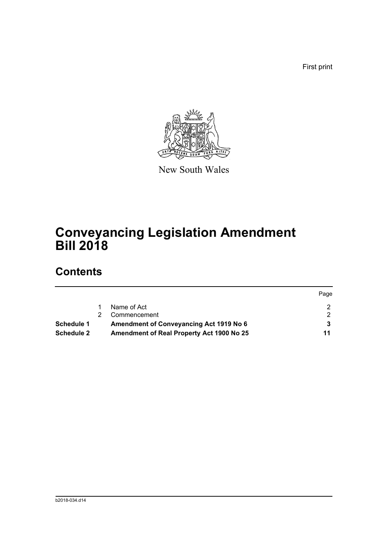First print



New South Wales

# **Conveyancing Legislation Amendment Bill 2018**

## **Contents**

| <b>Schedule 2</b> | Amendment of Real Property Act 1900 No 25 | 11   |
|-------------------|-------------------------------------------|------|
| Schedule 1        | Amendment of Conveyancing Act 1919 No 6   |      |
|                   | Commencement                              |      |
|                   | Name of Act                               |      |
|                   |                                           | Page |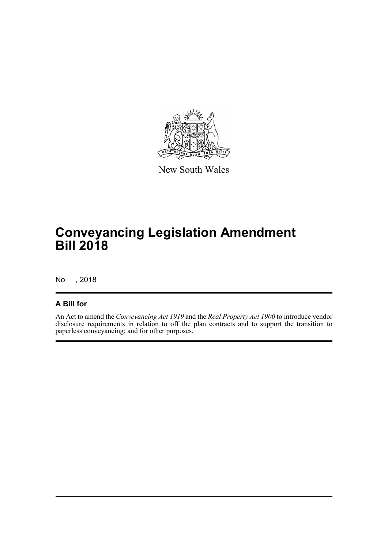

New South Wales

# **Conveyancing Legislation Amendment Bill 2018**

No , 2018

## **A Bill for**

An Act to amend the *Conveyancing Act 1919* and the *Real Property Act 1900* to introduce vendor disclosure requirements in relation to off the plan contracts and to support the transition to paperless conveyancing; and for other purposes.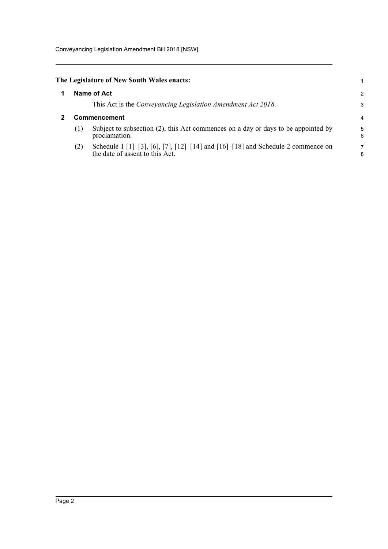Conveyancing Legislation Amendment Bill 2018 [NSW]

<span id="page-6-1"></span><span id="page-6-0"></span>

| The Legislature of New South Wales enacts: |  |
|--------------------------------------------|--|
|--------------------------------------------|--|

|   |                     | Name of Act<br>This Act is the <i>Conveyancing Legislation Amendment Act 2018</i> .                                 | 2<br>З |  |  |  |
|---|---------------------|---------------------------------------------------------------------------------------------------------------------|--------|--|--|--|
| 2 | <b>Commencement</b> |                                                                                                                     |        |  |  |  |
|   | (1)                 | Subject to subsection (2), this Act commences on a day or days to be appointed by<br>proclamation.                  | 5      |  |  |  |
|   | (2)                 | Schedule 1 [1]-[3], [6], [7], [12]-[14] and [16]-[18] and Schedule 2 commence on<br>the date of assent to this Act. | ٤      |  |  |  |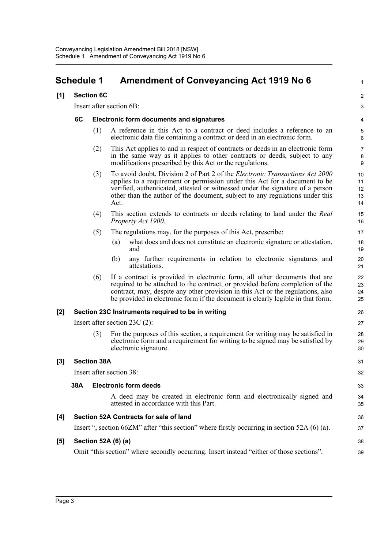## <span id="page-7-0"></span>**Schedule 1 Amendment of Conveyancing Act 1919 No 6** <sup>1</sup>

#### **[1] Section 6C** 2

Insert after section 6B: 3

#### **6C Electronic form documents and signatures** 4

- (1) A reference in this Act to a contract or deed includes a reference to an 5 electronic data file containing a contract or deed in an electronic form. 6
- (2) This Act applies to and in respect of contracts or deeds in an electronic form 7 in the same way as it applies to other contracts or deeds, subject to any 8 modifications prescribed by this Act or the regulations. 9
- (3) To avoid doubt, Division 2 of Part 2 of the *Electronic Transactions Act 2000* 10 applies to a requirement or permission under this Act for a document to be 11 verified, authenticated, attested or witnessed under the signature of a person 12 other than the author of the document, subject to any regulations under this 13  $Act.$  14
- (4) This section extends to contracts or deeds relating to land under the *Real* 15 *Property Act 1900.* 16
- (5) The regulations may, for the purposes of this Act, prescribe: 17
	- (a) what does and does not constitute an electronic signature or attestation, 18 and the contract of the contract of the contract of the contract of the contract of the contract of the contract of the contract of the contract of the contract of the contract of the contract of the contract of the contra
	- (b) any further requirements in relation to electronic signatures and 20 attestations. 21
- (6) If a contract is provided in electronic form, all other documents that are 22 required to be attached to the contract, or provided before completion of the 23 contract, may, despite any other provision in this Act or the regulations, also 24 be provided in electronic form if the document is clearly legible in that form. 25

### **[2] Section 23C Instruments required to be in writing** 26

Insert after section 23C (2): 27

(3) For the purposes of this section, a requirement for writing may be satisfied in 28 electronic form and a requirement for writing to be signed may be satisfied by 29 electronic signature. 30

### **[3] Section 38A** 31

Insert after section 38: 32

#### **38A Electronic form deeds** 33

A deed may be created in electronic form and electronically signed and 34 attested in accordance with this Part. 35

#### **[4] Section 52A Contracts for sale of land** 36

Insert ", section 66ZM" after "this section" where firstly occurring in section 52A (6) (a). 37

### **[5] Section 52A (6) (a)** 38

Omit "this section" where secondly occurring. Insert instead "either of those sections". 39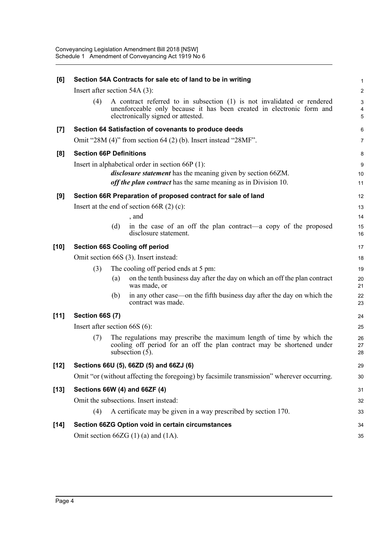| [6]    |                                 |     | Section 54A Contracts for sale etc of land to be in writing                                                                                                                            |                |
|--------|---------------------------------|-----|----------------------------------------------------------------------------------------------------------------------------------------------------------------------------------------|----------------|
|        | Insert after section $54A(3)$ : |     |                                                                                                                                                                                        | 2              |
|        | (4)                             |     | A contract referred to in subsection (1) is not invalidated or rendered<br>unenforceable only because it has been created in electronic form and<br>electronically signed or attested. | 5              |
| $[7]$  |                                 |     | Section 64 Satisfaction of covenants to produce deeds                                                                                                                                  | Е              |
|        |                                 |     | Omit "28M $(4)$ " from section 64 $(2)$ (b). Insert instead "28MF".                                                                                                                    |                |
| [8]    | <b>Section 66P Definitions</b>  |     |                                                                                                                                                                                        | ε              |
|        |                                 |     | Insert in alphabetical order in section 66P (1):                                                                                                                                       |                |
|        |                                 |     | <i>disclosure statement</i> has the meaning given by section 66ZM.<br>off the plan contract has the same meaning as in Division 10.                                                    | 10<br>11       |
| [9]    |                                 |     | Section 66R Preparation of proposed contract for sale of land                                                                                                                          | 12             |
|        |                                 |     | Insert at the end of section 66R $(2)$ (c):                                                                                                                                            | 13             |
|        |                                 |     | , and                                                                                                                                                                                  | 14             |
|        |                                 | (d) | in the case of an off the plan contract—a copy of the proposed<br>disclosure statement.                                                                                                | 15<br>16       |
| $[10]$ |                                 |     | <b>Section 66S Cooling off period</b>                                                                                                                                                  | 17             |
|        |                                 |     | Omit section 66S (3). Insert instead:                                                                                                                                                  | 18             |
|        | (3)                             |     | The cooling off period ends at 5 pm:                                                                                                                                                   | 19             |
|        |                                 | (a) | on the tenth business day after the day on which an off the plan contract<br>was made, or                                                                                              | 20<br>21       |
|        |                                 | (b) | in any other case—on the fifth business day after the day on which the<br>contract was made.                                                                                           | 22<br>23       |
| $[11]$ | <b>Section 66S (7)</b>          |     |                                                                                                                                                                                        | 24             |
|        | Insert after section $66S(6)$ : |     |                                                                                                                                                                                        | 25             |
|        | (7)                             |     | The regulations may prescribe the maximum length of time by which the<br>cooling off period for an off the plan contract may be shortened under<br>subsection $(5)$ .                  | 26<br>27<br>28 |
| [12]   |                                 |     | Sections 66U (5), 66ZD (5) and 66ZJ (6)                                                                                                                                                | 29             |
|        |                                 |     | Omit "or (without affecting the foregoing) by facsimile transmission" wherever occurring.                                                                                              | 30             |
| $[13]$ |                                 |     | Sections 66W (4) and 66ZF (4)                                                                                                                                                          | 31             |
|        |                                 |     | Omit the subsections. Insert instead:                                                                                                                                                  | 32             |
|        | (4)                             |     | A certificate may be given in a way prescribed by section 170.                                                                                                                         | 33             |
| $[14]$ |                                 |     | Section 66ZG Option void in certain circumstances                                                                                                                                      | 34             |
|        |                                 |     | Omit section $66ZG(1)(a)$ and $(1A)$ .                                                                                                                                                 | 35             |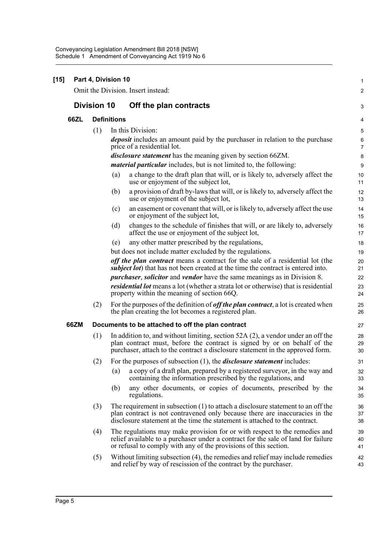| $[15]$ |                    | Part 4, Division 10 | Omit the Division. Insert instead:                                                                                                                                                                                                               | 1                          |
|--------|--------------------|---------------------|--------------------------------------------------------------------------------------------------------------------------------------------------------------------------------------------------------------------------------------------------|----------------------------|
|        |                    |                     |                                                                                                                                                                                                                                                  | 2                          |
|        | <b>Division 10</b> |                     | Off the plan contracts                                                                                                                                                                                                                           | G                          |
| 66ZL   |                    | <b>Definitions</b>  |                                                                                                                                                                                                                                                  | 4                          |
|        | (1)                |                     | In this Division:                                                                                                                                                                                                                                | 5                          |
|        |                    |                     | <i>deposit</i> includes an amount paid by the purchaser in relation to the purchase<br>price of a residential lot.                                                                                                                               | б<br>7                     |
|        |                    |                     | <i>disclosure statement</i> has the meaning given by section 66ZM.                                                                                                                                                                               | ε                          |
|        |                    |                     | <i>material particular</i> includes, but is not limited to, the following:                                                                                                                                                                       | ĉ                          |
|        |                    | (a)                 | a change to the draft plan that will, or is likely to, adversely affect the<br>use or enjoyment of the subject lot,                                                                                                                              | 10<br>11                   |
|        |                    | (b)                 | a provision of draft by-laws that will, or is likely to, adversely affect the<br>use or enjoyment of the subject lot,                                                                                                                            | 12<br>13                   |
|        |                    | (c)                 | an easement or covenant that will, or is likely to, adversely affect the use<br>or enjoyment of the subject lot,                                                                                                                                 | 14<br>15                   |
|        |                    | (d)                 | changes to the schedule of finishes that will, or are likely to, adversely<br>affect the use or enjoyment of the subject lot,                                                                                                                    | 16<br>17                   |
|        |                    | (e)                 | any other matter prescribed by the regulations,                                                                                                                                                                                                  | 18                         |
|        |                    |                     | but does not include matter excluded by the regulations.                                                                                                                                                                                         | 1 <sup>c</sup>             |
|        |                    |                     | off the plan contract means a contract for the sale of a residential lot (the<br><i>subject lot</i> ) that has not been created at the time the contract is entered into.                                                                        | 20<br>21                   |
|        |                    |                     | <i>purchaser, solicitor</i> and <i>vendor</i> have the same meanings as in Division 8.<br><i>residential lot</i> means a lot (whether a strata lot or otherwise) that is residential<br>property within the meaning of section 66Q.              | 22<br>23<br>24             |
|        | (2)                |                     | For the purposes of the definition of <i>off the plan contract</i> , a lot is created when<br>the plan creating the lot becomes a registered plan.                                                                                               | 25<br>26                   |
| 66ZM   |                    |                     | Documents to be attached to off the plan contract                                                                                                                                                                                                | 27                         |
|        | (1)                |                     | In addition to, and without limiting, section $52A(2)$ , a vendor under an off the<br>plan contract must, before the contract is signed by or on behalf of the<br>purchaser, attach to the contract a disclosure statement in the approved form. | 28<br>29<br>3 <sub>C</sub> |
|        | (2)                |                     | For the purposes of subsection $(1)$ , the <i>disclosure statement</i> includes:                                                                                                                                                                 | 31                         |
|        |                    | (a)                 | a copy of a draft plan, prepared by a registered surveyor, in the way and<br>containing the information prescribed by the regulations, and                                                                                                       | 32<br>33                   |
|        |                    | (b)                 | any other documents, or copies of documents, prescribed by the<br>regulations.                                                                                                                                                                   | 34<br>35                   |
|        | (3)                |                     | The requirement in subsection $(1)$ to attach a disclosure statement to an off the<br>plan contract is not contravened only because there are inaccuracies in the<br>disclosure statement at the time the statement is attached to the contract. | 36<br>37<br>38             |
|        | (4)                |                     | The regulations may make provision for or with respect to the remedies and<br>relief available to a purchaser under a contract for the sale of land for failure<br>or refusal to comply with any of the provisions of this section.              | 39<br>40<br>41             |
|        | (5)                |                     | Without limiting subsection (4), the remedies and relief may include remedies<br>and relief by way of rescission of the contract by the purchaser.                                                                                               | 42<br>43                   |
|        |                    |                     |                                                                                                                                                                                                                                                  |                            |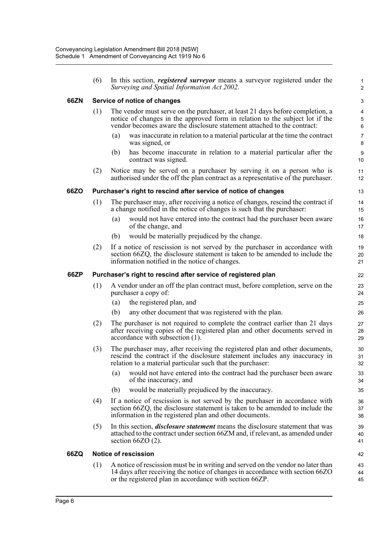|      | (6)                                                           |     | In this section, <i>registered surveyor</i> means a surveyor registered under the<br>Surveying and Spatial Information Act 2002.                                                                                                         | 2              |  |  |  |  |
|------|---------------------------------------------------------------|-----|------------------------------------------------------------------------------------------------------------------------------------------------------------------------------------------------------------------------------------------|----------------|--|--|--|--|
| 66ZN |                                                               |     | Service of notice of changes                                                                                                                                                                                                             | G              |  |  |  |  |
|      | (1)                                                           |     | The vendor must serve on the purchaser, at least 21 days before completion, a<br>notice of changes in the approved form in relation to the subject lot if the<br>vendor becomes aware the disclosure statement attached to the contract: | $\epsilon$     |  |  |  |  |
|      |                                                               | (a) | was inaccurate in relation to a material particular at the time the contract<br>was signed, or                                                                                                                                           | 7<br>ε         |  |  |  |  |
|      |                                                               | (b) | has become inaccurate in relation to a material particular after the<br>contract was signed.                                                                                                                                             | ς<br>10        |  |  |  |  |
|      | (2)                                                           |     | Notice may be served on a purchaser by serving it on a person who is<br>authorised under the off the plan contract as a representative of the purchaser.                                                                                 | 11<br>12       |  |  |  |  |
| 66ZO |                                                               |     | Purchaser's right to rescind after service of notice of changes                                                                                                                                                                          | 13             |  |  |  |  |
|      | (1)                                                           |     | The purchaser may, after receiving a notice of changes, rescind the contract if<br>a change notified in the notice of changes is such that the purchaser:                                                                                | 14<br>15       |  |  |  |  |
|      |                                                               | (a) | would not have entered into the contract had the purchaser been aware<br>of the change, and                                                                                                                                              | 16<br>17       |  |  |  |  |
|      |                                                               | (b) | would be materially prejudiced by the change.                                                                                                                                                                                            | 18             |  |  |  |  |
|      | (2)                                                           |     | If a notice of rescission is not served by the purchaser in accordance with<br>section 66ZQ, the disclosure statement is taken to be amended to include the<br>information notified in the notice of changes.                            | 19<br>20<br>21 |  |  |  |  |
| 66ZP | Purchaser's right to rescind after service of registered plan |     |                                                                                                                                                                                                                                          |                |  |  |  |  |
|      | (1)                                                           |     | A vendor under an off the plan contract must, before completion, serve on the<br>purchaser a copy of:                                                                                                                                    | 23<br>24       |  |  |  |  |
|      |                                                               | (a) | the registered plan, and                                                                                                                                                                                                                 | 25             |  |  |  |  |
|      |                                                               | (b) | any other document that was registered with the plan.                                                                                                                                                                                    | 26             |  |  |  |  |
|      | (2)                                                           |     | The purchaser is not required to complete the contract earlier than 21 days<br>after receiving copies of the registered plan and other documents served in<br>accordance with subsection (1).                                            | 27<br>28<br>29 |  |  |  |  |
|      | (3)                                                           |     | The purchaser may, after receiving the registered plan and other documents,<br>rescind the contract if the disclosure statement includes any inaccuracy in<br>relation to a material particular such that the purchaser:                 | 30<br>31<br>32 |  |  |  |  |
|      |                                                               | (a) | would not have entered into the contract had the purchaser been aware<br>of the inaccuracy, and                                                                                                                                          | 33<br>34       |  |  |  |  |
|      |                                                               | (b) | would be materially prejudiced by the inaccuracy.                                                                                                                                                                                        | 35             |  |  |  |  |
|      | (4)                                                           |     | If a notice of rescission is not served by the purchaser in accordance with<br>section 66ZQ, the disclosure statement is taken to be amended to include the<br>information in the registered plan and other documents.                   | 36<br>37<br>38 |  |  |  |  |
|      | (5)                                                           |     | In this section, <i>disclosure statement</i> means the disclosure statement that was<br>attached to the contract under section 66ZM and, if relevant, as amended under<br>section $66ZO(2)$ .                                            | 39<br>40<br>41 |  |  |  |  |
| 66ZQ |                                                               |     | <b>Notice of rescission</b>                                                                                                                                                                                                              | 42             |  |  |  |  |
|      | (1)                                                           |     | A notice of rescission must be in writing and served on the vendor no later than<br>14 days after receiving the notice of changes in accordance with section 66ZO<br>or the registered plan in accordance with section 66ZP.             | 43<br>44<br>45 |  |  |  |  |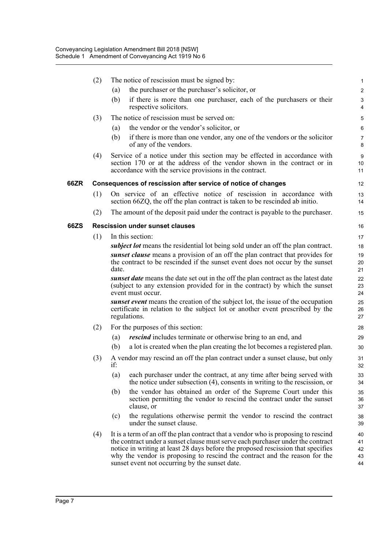|      | (2) |                                                                                         | The notice of rescission must be signed by:                                                                                                                                                                      |                |  |  |  |
|------|-----|-----------------------------------------------------------------------------------------|------------------------------------------------------------------------------------------------------------------------------------------------------------------------------------------------------------------|----------------|--|--|--|
|      |     | (a)                                                                                     | the purchaser or the purchaser's solicitor, or                                                                                                                                                                   | 2              |  |  |  |
|      |     | (b)                                                                                     | if there is more than one purchaser, each of the purchasers or their<br>respective solicitors.                                                                                                                   | 4              |  |  |  |
|      | (3) |                                                                                         | The notice of rescission must be served on:                                                                                                                                                                      | 5              |  |  |  |
|      |     | (a)                                                                                     | the vendor or the vendor's solicitor, or                                                                                                                                                                         | б              |  |  |  |
|      |     | (b)                                                                                     | if there is more than one vendor, any one of the vendors or the solicitor<br>of any of the vendors.                                                                                                              | 7<br>ε         |  |  |  |
|      | (4) |                                                                                         | Service of a notice under this section may be effected in accordance with<br>section 170 or at the address of the vendor shown in the contract or in<br>accordance with the service provisions in the contract.  | ξ<br>10<br>11  |  |  |  |
| 66ZR |     |                                                                                         | Consequences of rescission after service of notice of changes                                                                                                                                                    | 12             |  |  |  |
|      | (1) |                                                                                         | On service of an effective notice of rescission in accordance with<br>section 66ZQ, the off the plan contract is taken to be rescinded ab initio.                                                                | 13<br>14       |  |  |  |
|      | (2) |                                                                                         | The amount of the deposit paid under the contract is payable to the purchaser.                                                                                                                                   | 15             |  |  |  |
| 66ZS |     |                                                                                         | <b>Rescission under sunset clauses</b>                                                                                                                                                                           | 16             |  |  |  |
|      | (1) | In this section:                                                                        |                                                                                                                                                                                                                  |                |  |  |  |
|      |     | <i>subject lot</i> means the residential lot being sold under an off the plan contract. |                                                                                                                                                                                                                  |                |  |  |  |
|      |     | sunset clause means a provision of an off the plan contract that provides for           |                                                                                                                                                                                                                  |                |  |  |  |
|      |     | date.                                                                                   | the contract to be rescinded if the sunset event does not occur by the sunset                                                                                                                                    | 20<br>21       |  |  |  |
|      |     |                                                                                         | sunset date means the date set out in the off the plan contract as the latest date<br>(subject to any extension provided for in the contract) by which the sunset<br>event must occur.                           | 22<br>23<br>24 |  |  |  |
|      |     |                                                                                         | sunset event means the creation of the subject lot, the issue of the occupation<br>certificate in relation to the subject lot or another event prescribed by the<br>regulations.                                 | 25<br>26<br>27 |  |  |  |
|      | (2) |                                                                                         | For the purposes of this section:                                                                                                                                                                                | 28             |  |  |  |
|      |     | (a)                                                                                     | <i>rescind</i> includes terminate or otherwise bring to an end, and                                                                                                                                              | 29             |  |  |  |
|      |     | (b)                                                                                     | a lot is created when the plan creating the lot becomes a registered plan.                                                                                                                                       | 3 <sub>C</sub> |  |  |  |
|      | (3) | if:                                                                                     | A vendor may rescind an off the plan contract under a sunset clause, but only                                                                                                                                    | 31<br>32       |  |  |  |
|      |     | (a)                                                                                     | each purchaser under the contract, at any time after being served with<br>the notice under subsection (4), consents in writing to the rescission, or                                                             | 33<br>34       |  |  |  |
|      |     | (b)                                                                                     | the vendor has obtained an order of the Supreme Court under this<br>section permitting the vendor to rescind the contract under the sunset<br>clause, or                                                         | 35<br>36<br>37 |  |  |  |
|      |     | (c)                                                                                     | the regulations otherwise permit the vendor to rescind the contract<br>under the sunset clause.                                                                                                                  | 38<br>39       |  |  |  |
|      | (4) |                                                                                         | It is a term of an off the plan contract that a vendor who is proposing to rescind                                                                                                                               | 40             |  |  |  |
|      |     |                                                                                         | the contract under a sunset clause must serve each purchaser under the contract                                                                                                                                  | 41             |  |  |  |
|      |     |                                                                                         | notice in writing at least 28 days before the proposed rescission that specifies<br>why the vendor is proposing to rescind the contract and the reason for the<br>sunset event not occurring by the sunset date. | 42<br>43<br>44 |  |  |  |
|      |     |                                                                                         |                                                                                                                                                                                                                  |                |  |  |  |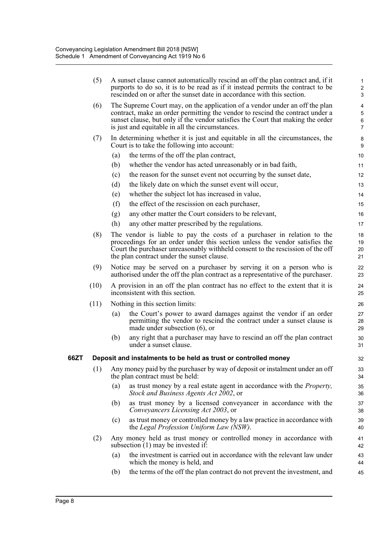|      | (5)  |     | A sunset clause cannot automatically rescind an off the plan contract and, if it<br>purports to do so, it is to be read as if it instead permits the contract to be<br>rescinded on or after the sunset date in accordance with this section.                                                      | 2<br>З                                                   |
|------|------|-----|----------------------------------------------------------------------------------------------------------------------------------------------------------------------------------------------------------------------------------------------------------------------------------------------------|----------------------------------------------------------|
|      | (6)  |     | The Supreme Court may, on the application of a vendor under an off the plan<br>contract, make an order permitting the vendor to rescind the contract under a<br>sunset clause, but only if the vendor satisfies the Court that making the order<br>is just and equitable in all the circumstances. | $\overline{\mathcal{L}}$<br>$\epsilon$<br>$\overline{7}$ |
|      | (7)  |     | In determining whether it is just and equitable in all the circumstances, the<br>Court is to take the following into account:                                                                                                                                                                      | ε<br>ς                                                   |
|      |      | (a) | the terms of the off the plan contract,                                                                                                                                                                                                                                                            | 10                                                       |
|      |      | (b) | whether the vendor has acted unreasonably or in bad faith,                                                                                                                                                                                                                                         | 11                                                       |
|      |      | (c) | the reason for the sunset event not occurring by the sunset date,                                                                                                                                                                                                                                  | 12                                                       |
|      |      | (d) | the likely date on which the sunset event will occur,                                                                                                                                                                                                                                              | 13                                                       |
|      |      | (e) | whether the subject lot has increased in value,                                                                                                                                                                                                                                                    | 14                                                       |
|      |      | (f) | the effect of the rescission on each purchaser,                                                                                                                                                                                                                                                    | 15                                                       |
|      |      | (g) | any other matter the Court considers to be relevant,                                                                                                                                                                                                                                               | 16                                                       |
|      |      | (h) | any other matter prescribed by the regulations.                                                                                                                                                                                                                                                    | 17                                                       |
|      | (8)  |     | The vendor is liable to pay the costs of a purchaser in relation to the<br>proceedings for an order under this section unless the vendor satisfies the<br>Court the purchaser unreasonably withheld consent to the rescission of the off<br>the plan contract under the sunset clause.             | 18<br>1 <sup>c</sup><br>20<br>21                         |
|      | (9)  |     | Notice may be served on a purchaser by serving it on a person who is<br>authorised under the off the plan contract as a representative of the purchaser.                                                                                                                                           | 22<br>23                                                 |
|      | (10) |     | A provision in an off the plan contract has no effect to the extent that it is<br>inconsistent with this section.                                                                                                                                                                                  | 24<br>25                                                 |
|      | (11) |     | Nothing in this section limits:                                                                                                                                                                                                                                                                    | 26                                                       |
|      |      | (a) | the Court's power to award damages against the vendor if an order<br>permitting the vendor to rescind the contract under a sunset clause is<br>made under subsection $(6)$ , or                                                                                                                    | 27<br>28<br>29                                           |
|      |      | (b) | any right that a purchaser may have to rescind an off the plan contract<br>under a sunset clause.                                                                                                                                                                                                  | 30<br>31                                                 |
| 66ZT |      |     | Deposit and instalments to be held as trust or controlled money                                                                                                                                                                                                                                    | 32                                                       |
|      | (1)  |     | Any money paid by the purchaser by way of deposit or instalment under an off<br>the plan contract must be held:                                                                                                                                                                                    | 33<br>34                                                 |
|      |      | (a) | as trust money by a real estate agent in accordance with the <i>Property</i> ,<br>Stock and Business Agents Act 2002, or                                                                                                                                                                           | 35<br>36                                                 |
|      |      | (b) | as trust money by a licensed conveyancer in accordance with the<br>Conveyancers Licensing Act 2003, or                                                                                                                                                                                             | 37<br>38                                                 |
|      |      | (c) | as trust money or controlled money by a law practice in accordance with<br>the Legal Profession Uniform Law (NSW).                                                                                                                                                                                 | 39<br>40                                                 |
|      | (2)  |     | Any money held as trust money or controlled money in accordance with<br>subsection $(1)$ may be invested if:                                                                                                                                                                                       | 41<br>42                                                 |
|      |      | (a) | the investment is carried out in accordance with the relevant law under<br>which the money is held, and                                                                                                                                                                                            | 43<br>44                                                 |
|      |      | (b) | the terms of the off the plan contract do not prevent the investment, and                                                                                                                                                                                                                          | 45                                                       |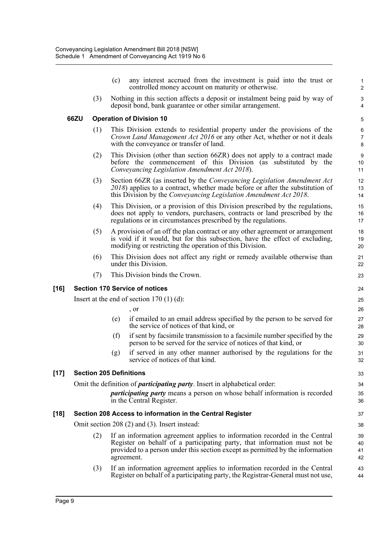|        |      |     | (c) | any interest accrued from the investment is paid into the trust or<br>controlled money account on maturity or otherwise.                                                                                                                                | 2                    |
|--------|------|-----|-----|---------------------------------------------------------------------------------------------------------------------------------------------------------------------------------------------------------------------------------------------------------|----------------------|
|        |      | (3) |     | Nothing in this section affects a deposit or instalment being paid by way of<br>deposit bond, bank guarantee or other similar arrangement.                                                                                                              | G<br>4               |
|        | 66ZU |     |     | <b>Operation of Division 10</b>                                                                                                                                                                                                                         | 5                    |
|        |      | (1) |     | This Division extends to residential property under the provisions of the<br>Crown Land Management Act 2016 or any other Act, whether or not it deals<br>with the conveyance or transfer of land.                                                       | $\epsilon$<br>7<br>ε |
|        |      | (2) |     | This Division (other than section 66ZR) does not apply to a contract made<br>before the commencement of this Division (as substituted by the<br>Conveyancing Legislation Amendment Act 2018).                                                           | ς<br>10<br>11        |
|        |      | (3) |     | Section 66ZR (as inserted by the Conveyancing Legislation Amendment Act<br>$2018$ ) applies to a contract, whether made before or after the substitution of<br>this Division by the Conveyancing Legislation Amendment Act 2018.                        | 12<br>13<br>14       |
|        |      | (4) |     | This Division, or a provision of this Division prescribed by the regulations,<br>does not apply to vendors, purchasers, contracts or land prescribed by the<br>regulations or in circumstances prescribed by the regulations.                           | 15<br>16<br>17       |
|        |      | (5) |     | A provision of an off the plan contract or any other agreement or arrangement<br>is void if it would, but for this subsection, have the effect of excluding,<br>modifying or restricting the operation of this Division.                                | 18<br>19<br>20       |
|        |      | (6) |     | This Division does not affect any right or remedy available otherwise than<br>under this Division.                                                                                                                                                      | 21<br>22             |
|        |      | (7) |     | This Division binds the Crown.                                                                                                                                                                                                                          | 23                   |
| [16]   |      |     |     | <b>Section 170 Service of notices</b>                                                                                                                                                                                                                   | 24                   |
|        |      |     |     | Insert at the end of section $170(1)(d)$ :                                                                                                                                                                                                              | 25                   |
|        |      |     |     | , or                                                                                                                                                                                                                                                    | 26                   |
|        |      |     | (e) | if emailed to an email address specified by the person to be served for<br>the service of notices of that kind, or                                                                                                                                      | 27<br>28             |
|        |      |     | (f) | if sent by facsimile transmission to a facsimile number specified by the<br>person to be served for the service of notices of that kind, or                                                                                                             | 29<br>3 <sub>C</sub> |
|        |      |     | (g) | if served in any other manner authorised by the regulations for the<br>service of notices of that kind.                                                                                                                                                 | 31<br>32             |
| $[17]$ |      |     |     | <b>Section 205 Definitions</b>                                                                                                                                                                                                                          | 33                   |
|        |      |     |     | Omit the definition of <i>participating party</i> . Insert in alphabetical order:                                                                                                                                                                       | 34                   |
|        |      |     |     | participating party means a person on whose behalf information is recorded<br>in the Central Register.                                                                                                                                                  | 35<br>36             |
| [18]   |      |     |     | Section 208 Access to information in the Central Register                                                                                                                                                                                               | 37                   |
|        |      |     |     | Omit section 208 (2) and (3). Insert instead:                                                                                                                                                                                                           | 38                   |
|        |      | (2) |     | If an information agreement applies to information recorded in the Central<br>Register on behalf of a participating party, that information must not be<br>provided to a person under this section except as permitted by the information<br>agreement. | 39<br>40<br>41<br>42 |
|        |      | (3) |     | If an information agreement applies to information recorded in the Central<br>Register on behalf of a participating party, the Registrar-General must not use,                                                                                          | 43<br>44             |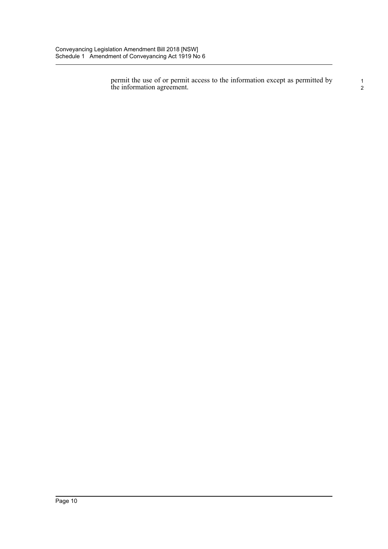permit the use of or permit access to the information except as permitted by the information agreement.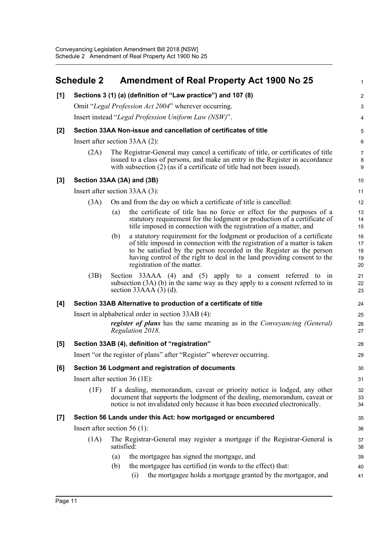<span id="page-15-0"></span>

|       | <b>Schedule 2</b>               |                                | <b>Amendment of Real Property Act 1900 No 25</b>                                                                                                                                                                                                                                                                                        |                            |  |  |  |  |  |
|-------|---------------------------------|--------------------------------|-----------------------------------------------------------------------------------------------------------------------------------------------------------------------------------------------------------------------------------------------------------------------------------------------------------------------------------------|----------------------------|--|--|--|--|--|
| [1]   |                                 |                                | Sections 3 (1) (a) (definition of "Law practice") and 107 (8)                                                                                                                                                                                                                                                                           |                            |  |  |  |  |  |
|       |                                 |                                | Omit "Legal Profession Act 2004" wherever occurring.                                                                                                                                                                                                                                                                                    |                            |  |  |  |  |  |
|       |                                 |                                | Insert instead "Legal Profession Uniform Law (NSW)".                                                                                                                                                                                                                                                                                    |                            |  |  |  |  |  |
| $[2]$ |                                 |                                | Section 33AA Non-issue and cancellation of certificates of title                                                                                                                                                                                                                                                                        |                            |  |  |  |  |  |
|       |                                 | Insert after section 33AA (2): |                                                                                                                                                                                                                                                                                                                                         |                            |  |  |  |  |  |
|       | (2A)                            |                                | The Registrar-General may cancel a certificate of title, or certificates of title<br>issued to a class of persons, and make an entry in the Register in accordance<br>with subsection $(2)$ (as if a certificate of title had not been issued).                                                                                         | 7<br>ę<br>ξ                |  |  |  |  |  |
| [3]   |                                 |                                | Section 33AA (3A) and (3B)                                                                                                                                                                                                                                                                                                              | 10                         |  |  |  |  |  |
|       |                                 |                                | Insert after section 33AA (3):                                                                                                                                                                                                                                                                                                          | 11                         |  |  |  |  |  |
|       | (3A)                            |                                | On and from the day on which a certificate of title is cancelled:                                                                                                                                                                                                                                                                       | 12                         |  |  |  |  |  |
|       |                                 | (a)                            | the certificate of title has no force or effect for the purposes of a<br>statutory requirement for the lodgment or production of a certificate of<br>title imposed in connection with the registration of a matter, and                                                                                                                 | 13<br>14<br>15             |  |  |  |  |  |
|       |                                 | (b)                            | a statutory requirement for the lodgment or production of a certificate<br>of title imposed in connection with the registration of a matter is taken<br>to be satisfied by the person recorded in the Register as the person<br>having control of the right to deal in the land providing consent to the<br>registration of the matter. | 16<br>17<br>18<br>19<br>20 |  |  |  |  |  |
|       | (3B)                            |                                | Section 33AAA (4) and (5) apply to a consent referred to in<br>subsection $(3A)$ (b) in the same way as they apply to a consent referred to in<br>section $33AAA(3)$ (d).                                                                                                                                                               | 21<br>22<br>23             |  |  |  |  |  |
| [4]   |                                 |                                | Section 33AB Alternative to production of a certificate of title                                                                                                                                                                                                                                                                        | 24                         |  |  |  |  |  |
|       |                                 |                                | Insert in alphabetical order in section 33AB (4):                                                                                                                                                                                                                                                                                       | 25                         |  |  |  |  |  |
|       |                                 |                                | <i>register of plans</i> has the same meaning as in the <i>Conveyancing (General)</i><br>Regulation 2018.                                                                                                                                                                                                                               | 26<br>27                   |  |  |  |  |  |
| [5]   |                                 |                                | Section 33AB (4), definition of "registration"                                                                                                                                                                                                                                                                                          | 28                         |  |  |  |  |  |
|       |                                 |                                | Insert "or the register of plans" after "Register" wherever occurring.                                                                                                                                                                                                                                                                  | 29                         |  |  |  |  |  |
| [6]   |                                 |                                | Section 36 Lodgment and registration of documents                                                                                                                                                                                                                                                                                       | 30                         |  |  |  |  |  |
|       | Insert after section $36$ (1E): |                                |                                                                                                                                                                                                                                                                                                                                         | 31                         |  |  |  |  |  |
|       | (1F)                            |                                | If a dealing, memorandum, caveat or priority notice is lodged, any other<br>document that supports the lodgment of the dealing, memorandum, caveat or<br>notice is not invalidated only because it has been executed electronically.                                                                                                    | 32<br>33<br>34             |  |  |  |  |  |
| $[7]$ |                                 |                                | Section 56 Lands under this Act: how mortgaged or encumbered                                                                                                                                                                                                                                                                            | 35                         |  |  |  |  |  |
|       | Insert after section $56(1)$ :  |                                |                                                                                                                                                                                                                                                                                                                                         | 36                         |  |  |  |  |  |
|       | (1A)                            | satisfied:                     | The Registrar-General may register a mortgage if the Registrar-General is                                                                                                                                                                                                                                                               | 37<br>38                   |  |  |  |  |  |
|       |                                 | (a)                            | the mortgagee has signed the mortgage, and                                                                                                                                                                                                                                                                                              | 39                         |  |  |  |  |  |
|       |                                 | (b)                            | the mortgagee has certified (in words to the effect) that:                                                                                                                                                                                                                                                                              | 40                         |  |  |  |  |  |
|       |                                 |                                | the mortgagee holds a mortgage granted by the mortgagor, and<br>(i)                                                                                                                                                                                                                                                                     | 41                         |  |  |  |  |  |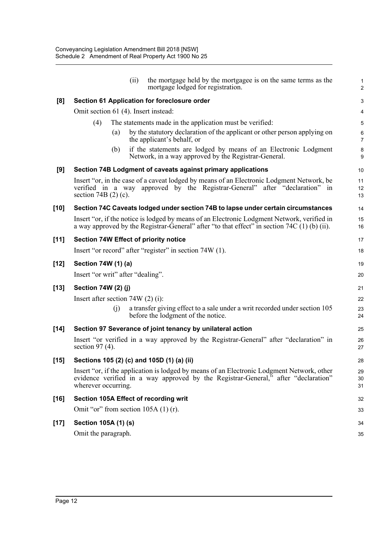|        | (ii)<br>the mortgage held by the mortgagee is on the same terms as the<br>mortgage lodged for registration.                                                                                             | 2                          |
|--------|---------------------------------------------------------------------------------------------------------------------------------------------------------------------------------------------------------|----------------------------|
| [8]    | Section 61 Application for foreclosure order                                                                                                                                                            |                            |
|        | Omit section 61 (4). Insert instead:                                                                                                                                                                    |                            |
|        | The statements made in the application must be verified:<br>(4)                                                                                                                                         | ŧ                          |
|        | by the statutory declaration of the applicant or other person applying on<br>(a)<br>the applicant's behalf, or                                                                                          | Е                          |
|        | if the statements are lodged by means of an Electronic Lodgment<br>(b)<br>Network, in a way approved by the Registrar-General.                                                                          | ε<br>ς                     |
| [9]    | Section 74B Lodgment of caveats against primary applications                                                                                                                                            | 10                         |
|        | Insert "or, in the case of a caveat lodged by means of an Electronic Lodgment Network, be<br>verified in a way approved by the Registrar-General" after "declaration" in<br>section 74B $(2)$ (c).      | 11<br>12<br>13             |
| $[10]$ | Section 74C Caveats lodged under section 74B to lapse under certain circumstances                                                                                                                       | 14                         |
|        | Insert "or, if the notice is lodged by means of an Electronic Lodgment Network, verified in<br>a way approved by the Registrar-General" after "to that effect" in section 74C (1) (b) (ii).             | 15<br>16                   |
| $[11]$ | Section 74W Effect of priority notice                                                                                                                                                                   | 17                         |
|        | Insert "or record" after "register" in section 74W (1).                                                                                                                                                 | 18                         |
| $[12]$ | Section 74W (1) (a)                                                                                                                                                                                     | 19                         |
|        | Insert "or writ" after "dealing".                                                                                                                                                                       | 20                         |
| $[13]$ | Section 74W (2) (j)                                                                                                                                                                                     | 21                         |
|        | Insert after section $74W(2)$ (i):                                                                                                                                                                      | 22                         |
|        | a transfer giving effect to a sale under a writ recorded under section 105<br>(i)<br>before the lodgment of the notice.                                                                                 | 23<br>24                   |
| $[14]$ | Section 97 Severance of joint tenancy by unilateral action                                                                                                                                              | 25                         |
|        | Insert "or verified in a way approved by the Registrar-General" after "declaration" in<br>section $97(4)$ .                                                                                             | 26<br>27                   |
| $[15]$ | Sections 105 (2) (c) and 105D (1) (a) (ii)                                                                                                                                                              | 28                         |
|        | Insert "or, if the application is lodged by means of an Electronic Lodgment Network, other<br>evidence verified in a way approved by the Registrar-General," after "declaration"<br>wherever occurring. | 29<br>3 <sub>C</sub><br>31 |
| $[16]$ | Section 105A Effect of recording writ                                                                                                                                                                   | 32                         |
|        | Omit "or" from section $105A(1)(r)$ .                                                                                                                                                                   | 33                         |
| $[17]$ | Section 105A (1) (s)                                                                                                                                                                                    | 34                         |
|        | Omit the paragraph.                                                                                                                                                                                     | 35                         |
|        |                                                                                                                                                                                                         |                            |